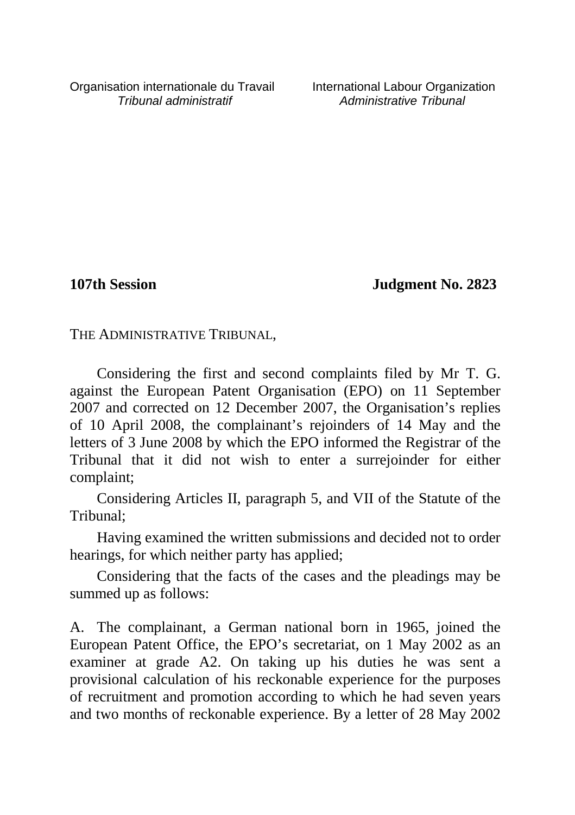Organisation internationale du Travail International Labour Organization<br>*International administratif* Administrative Tribunal

Administrative Tribunal

**107th Session Judgment No. 2823**

THE ADMINISTRATIVE TRIBUNAL,

Considering the first and second complaints filed by Mr T. G. against the European Patent Organisation (EPO) on 11 September 2007 and corrected on 12 December 2007, the Organisation's replies of 10 April 2008, the complainant's rejoinders of 14 May and the letters of 3 June 2008 by which the EPO informed the Registrar of the Tribunal that it did not wish to enter a surrejoinder for either complaint;

Considering Articles II, paragraph 5, and VII of the Statute of the Tribunal;

Having examined the written submissions and decided not to order hearings, for which neither party has applied;

Considering that the facts of the cases and the pleadings may be summed up as follows:

A. The complainant, a German national born in 1965, joined the European Patent Office, the EPO's secretariat, on 1 May 2002 as an examiner at grade A2. On taking up his duties he was sent a provisional calculation of his reckonable experience for the purposes of recruitment and promotion according to which he had seven years and two months of reckonable experience. By a letter of 28 May 2002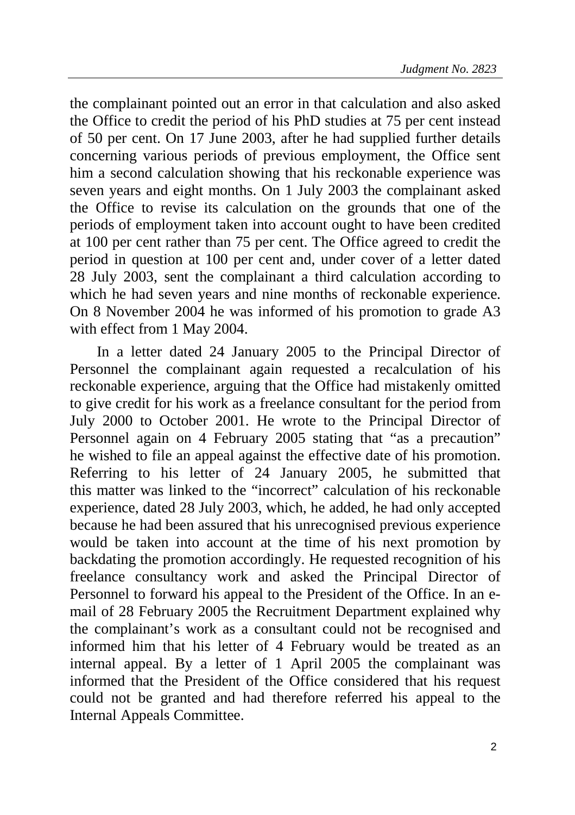the complainant pointed out an error in that calculation and also asked the Office to credit the period of his PhD studies at 75 per cent instead of 50 per cent. On 17 June 2003, after he had supplied further details concerning various periods of previous employment, the Office sent him a second calculation showing that his reckonable experience was seven years and eight months. On 1 July 2003 the complainant asked the Office to revise its calculation on the grounds that one of the periods of employment taken into account ought to have been credited at 100 per cent rather than 75 per cent. The Office agreed to credit the period in question at 100 per cent and, under cover of a letter dated 28 July 2003, sent the complainant a third calculation according to which he had seven years and nine months of reckonable experience. On 8 November 2004 he was informed of his promotion to grade A3 with effect from 1 May 2004.

In a letter dated 24 January 2005 to the Principal Director of Personnel the complainant again requested a recalculation of his reckonable experience, arguing that the Office had mistakenly omitted to give credit for his work as a freelance consultant for the period from July 2000 to October 2001. He wrote to the Principal Director of Personnel again on 4 February 2005 stating that "as a precaution" he wished to file an appeal against the effective date of his promotion. Referring to his letter of 24 January 2005, he submitted that this matter was linked to the "incorrect" calculation of his reckonable experience, dated 28 July 2003, which, he added, he had only accepted because he had been assured that his unrecognised previous experience would be taken into account at the time of his next promotion by backdating the promotion accordingly. He requested recognition of his freelance consultancy work and asked the Principal Director of Personnel to forward his appeal to the President of the Office. In an email of 28 February 2005 the Recruitment Department explained why the complainant's work as a consultant could not be recognised and informed him that his letter of 4 February would be treated as an internal appeal. By a letter of 1 April 2005 the complainant was informed that the President of the Office considered that his request could not be granted and had therefore referred his appeal to the Internal Appeals Committee.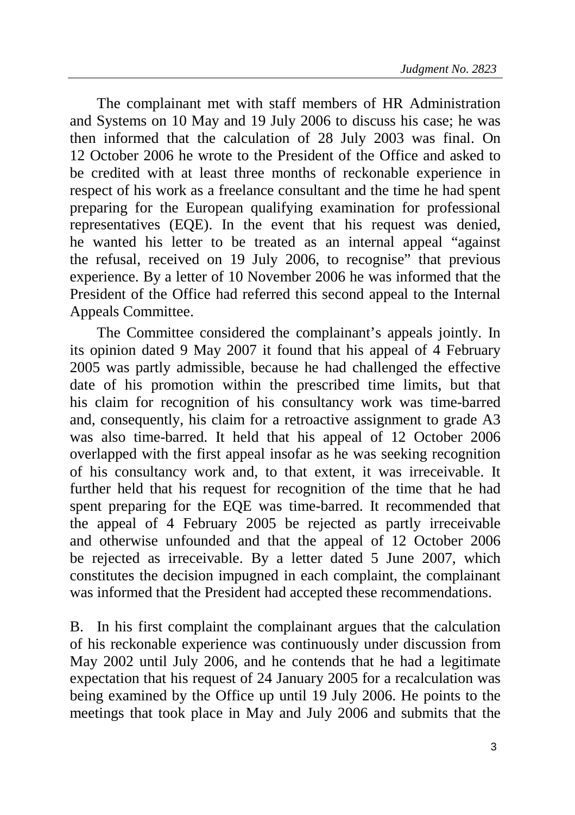The complainant met with staff members of HR Administration and Systems on 10 May and 19 July 2006 to discuss his case; he was then informed that the calculation of 28 July 2003 was final. On 12 October 2006 he wrote to the President of the Office and asked to be credited with at least three months of reckonable experience in respect of his work as a freelance consultant and the time he had spent preparing for the European qualifying examination for professional representatives (EQE). In the event that his request was denied, he wanted his letter to be treated as an internal appeal "against the refusal, received on 19 July 2006, to recognise" that previous experience. By a letter of 10 November 2006 he was informed that the President of the Office had referred this second appeal to the Internal Appeals Committee.

The Committee considered the complainant's appeals jointly. In its opinion dated 9 May 2007 it found that his appeal of 4 February 2005 was partly admissible, because he had challenged the effective date of his promotion within the prescribed time limits, but that his claim for recognition of his consultancy work was time-barred and, consequently, his claim for a retroactive assignment to grade A3 was also time-barred. It held that his appeal of 12 October 2006 overlapped with the first appeal insofar as he was seeking recognition of his consultancy work and, to that extent, it was irreceivable. It further held that his request for recognition of the time that he had spent preparing for the EQE was time-barred. It recommended that the appeal of 4 February 2005 be rejected as partly irreceivable and otherwise unfounded and that the appeal of 12 October 2006 be rejected as irreceivable. By a letter dated 5 June 2007, which constitutes the decision impugned in each complaint, the complainant was informed that the President had accepted these recommendations.

B. In his first complaint the complainant argues that the calculation of his reckonable experience was continuously under discussion from May 2002 until July 2006, and he contends that he had a legitimate expectation that his request of 24 January 2005 for a recalculation was being examined by the Office up until 19 July 2006. He points to the meetings that took place in May and July 2006 and submits that the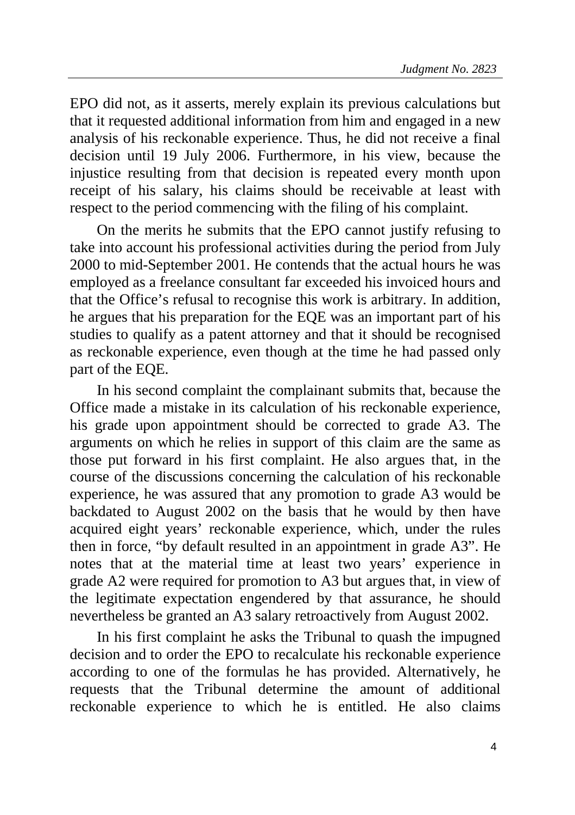EPO did not, as it asserts, merely explain its previous calculations but that it requested additional information from him and engaged in a new analysis of his reckonable experience. Thus, he did not receive a final decision until 19 July 2006. Furthermore, in his view, because the injustice resulting from that decision is repeated every month upon receipt of his salary, his claims should be receivable at least with respect to the period commencing with the filing of his complaint.

On the merits he submits that the EPO cannot justify refusing to take into account his professional activities during the period from July 2000 to mid-September 2001. He contends that the actual hours he was employed as a freelance consultant far exceeded his invoiced hours and that the Office's refusal to recognise this work is arbitrary. In addition, he argues that his preparation for the EQE was an important part of his studies to qualify as a patent attorney and that it should be recognised as reckonable experience, even though at the time he had passed only part of the EQE.

In his second complaint the complainant submits that, because the Office made a mistake in its calculation of his reckonable experience, his grade upon appointment should be corrected to grade A3. The arguments on which he relies in support of this claim are the same as those put forward in his first complaint. He also argues that, in the course of the discussions concerning the calculation of his reckonable experience, he was assured that any promotion to grade A3 would be backdated to August 2002 on the basis that he would by then have acquired eight years' reckonable experience, which, under the rules then in force, "by default resulted in an appointment in grade A3". He notes that at the material time at least two years' experience in grade A2 were required for promotion to A3 but argues that, in view of the legitimate expectation engendered by that assurance, he should nevertheless be granted an A3 salary retroactively from August 2002.

In his first complaint he asks the Tribunal to quash the impugned decision and to order the EPO to recalculate his reckonable experience according to one of the formulas he has provided. Alternatively, he requests that the Tribunal determine the amount of additional reckonable experience to which he is entitled. He also claims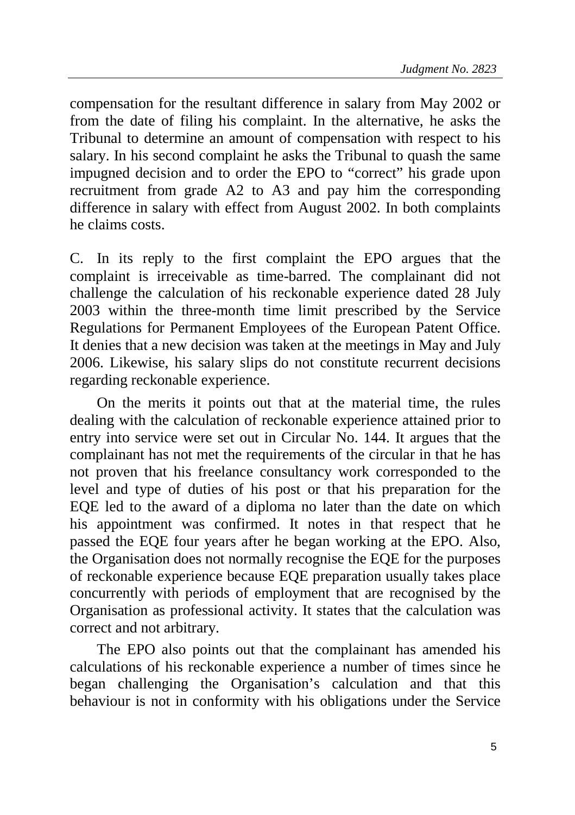compensation for the resultant difference in salary from May 2002 or from the date of filing his complaint. In the alternative, he asks the Tribunal to determine an amount of compensation with respect to his salary. In his second complaint he asks the Tribunal to quash the same impugned decision and to order the EPO to "correct" his grade upon recruitment from grade A2 to A3 and pay him the corresponding difference in salary with effect from August 2002. In both complaints he claims costs.

C. In its reply to the first complaint the EPO argues that the complaint is irreceivable as time-barred. The complainant did not challenge the calculation of his reckonable experience dated 28 July 2003 within the three-month time limit prescribed by the Service Regulations for Permanent Employees of the European Patent Office. It denies that a new decision was taken at the meetings in May and July 2006. Likewise, his salary slips do not constitute recurrent decisions regarding reckonable experience.

On the merits it points out that at the material time, the rules dealing with the calculation of reckonable experience attained prior to entry into service were set out in Circular No. 144. It argues that the complainant has not met the requirements of the circular in that he has not proven that his freelance consultancy work corresponded to the level and type of duties of his post or that his preparation for the EQE led to the award of a diploma no later than the date on which his appointment was confirmed. It notes in that respect that he passed the EQE four years after he began working at the EPO. Also, the Organisation does not normally recognise the EQE for the purposes of reckonable experience because EQE preparation usually takes place concurrently with periods of employment that are recognised by the Organisation as professional activity. It states that the calculation was correct and not arbitrary.

The EPO also points out that the complainant has amended his calculations of his reckonable experience a number of times since he began challenging the Organisation's calculation and that this behaviour is not in conformity with his obligations under the Service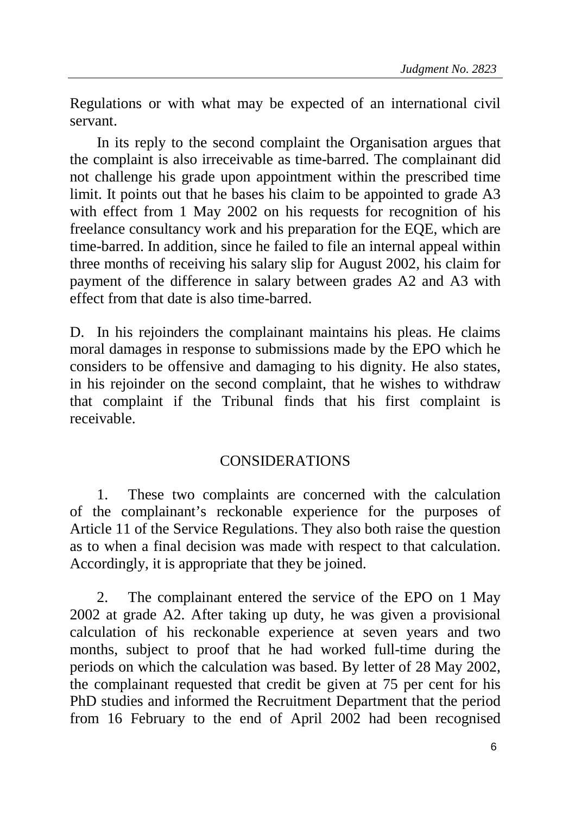Regulations or with what may be expected of an international civil servant.

In its reply to the second complaint the Organisation argues that the complaint is also irreceivable as time-barred. The complainant did not challenge his grade upon appointment within the prescribed time limit. It points out that he bases his claim to be appointed to grade A3 with effect from 1 May 2002 on his requests for recognition of his freelance consultancy work and his preparation for the EQE, which are time-barred. In addition, since he failed to file an internal appeal within three months of receiving his salary slip for August 2002, his claim for payment of the difference in salary between grades A2 and A3 with effect from that date is also time-barred.

D. In his rejoinders the complainant maintains his pleas. He claims moral damages in response to submissions made by the EPO which he considers to be offensive and damaging to his dignity. He also states, in his rejoinder on the second complaint, that he wishes to withdraw that complaint if the Tribunal finds that his first complaint is receivable.

## CONSIDERATIONS

1. These two complaints are concerned with the calculation of the complainant's reckonable experience for the purposes of Article 11 of the Service Regulations. They also both raise the question as to when a final decision was made with respect to that calculation. Accordingly, it is appropriate that they be joined.

2. The complainant entered the service of the EPO on 1 May 2002 at grade A2. After taking up duty, he was given a provisional calculation of his reckonable experience at seven years and two months, subject to proof that he had worked full-time during the periods on which the calculation was based. By letter of 28 May 2002, the complainant requested that credit be given at 75 per cent for his PhD studies and informed the Recruitment Department that the period from 16 February to the end of April 2002 had been recognised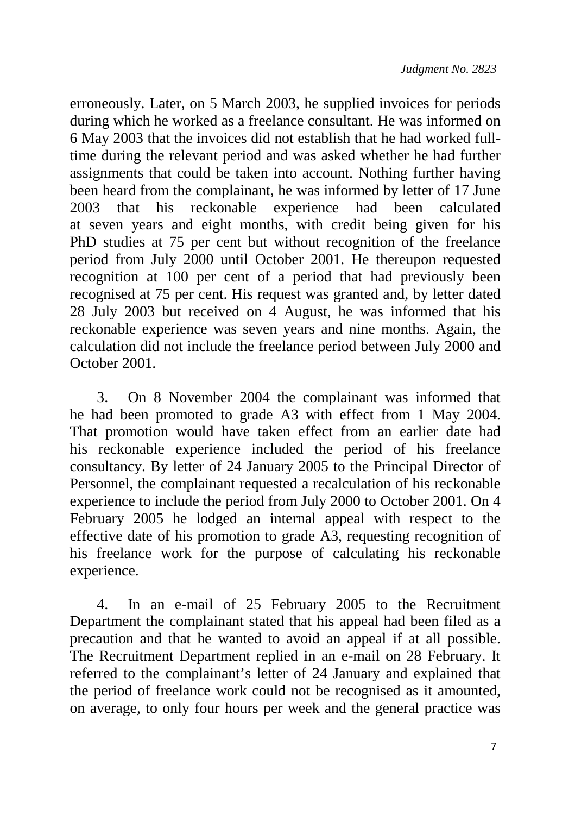erroneously. Later, on 5 March 2003, he supplied invoices for periods during which he worked as a freelance consultant. He was informed on 6 May 2003 that the invoices did not establish that he had worked fulltime during the relevant period and was asked whether he had further assignments that could be taken into account. Nothing further having been heard from the complainant, he was informed by letter of 17 June 2003 that his reckonable experience had been calculated at seven years and eight months, with credit being given for his PhD studies at 75 per cent but without recognition of the freelance period from July 2000 until October 2001. He thereupon requested recognition at 100 per cent of a period that had previously been recognised at 75 per cent. His request was granted and, by letter dated 28 July 2003 but received on 4 August, he was informed that his reckonable experience was seven years and nine months. Again, the calculation did not include the freelance period between July 2000 and October 2001.

3. On 8 November 2004 the complainant was informed that he had been promoted to grade A3 with effect from 1 May 2004. That promotion would have taken effect from an earlier date had his reckonable experience included the period of his freelance consultancy. By letter of 24 January 2005 to the Principal Director of Personnel, the complainant requested a recalculation of his reckonable experience to include the period from July 2000 to October 2001. On 4 February 2005 he lodged an internal appeal with respect to the effective date of his promotion to grade A3, requesting recognition of his freelance work for the purpose of calculating his reckonable experience.

4. In an e-mail of 25 February 2005 to the Recruitment Department the complainant stated that his appeal had been filed as a precaution and that he wanted to avoid an appeal if at all possible. The Recruitment Department replied in an e-mail on 28 February. It referred to the complainant's letter of 24 January and explained that the period of freelance work could not be recognised as it amounted, on average, to only four hours per week and the general practice was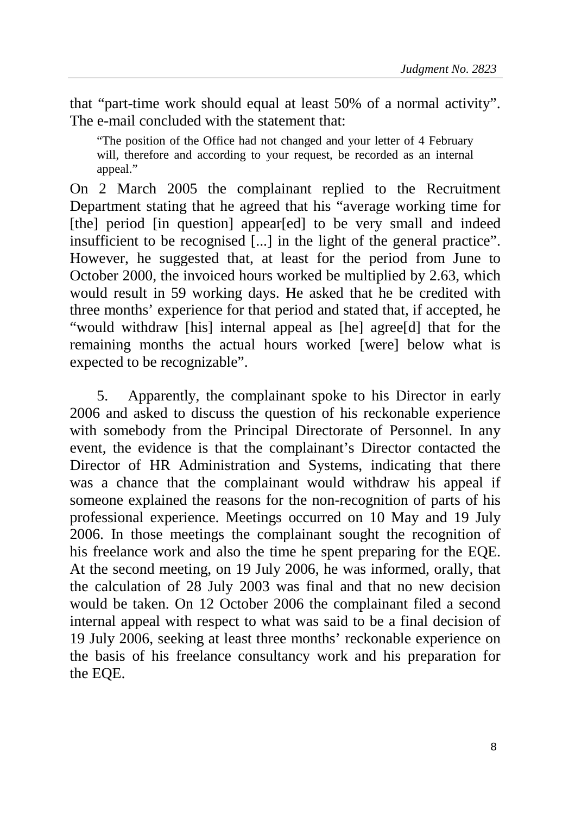that "part-time work should equal at least 50% of a normal activity". The e-mail concluded with the statement that:

"The position of the Office had not changed and your letter of 4 February will, therefore and according to your request, be recorded as an internal appeal."

On 2 March 2005 the complainant replied to the Recruitment Department stating that he agreed that his "average working time for [the] period [in question] appear[ed] to be very small and indeed insufficient to be recognised [...] in the light of the general practice". However, he suggested that, at least for the period from June to October 2000, the invoiced hours worked be multiplied by 2.63, which would result in 59 working days. He asked that he be credited with three months' experience for that period and stated that, if accepted, he "would withdraw [his] internal appeal as [he] agree[d] that for the remaining months the actual hours worked [were] below what is expected to be recognizable".

5. Apparently, the complainant spoke to his Director in early 2006 and asked to discuss the question of his reckonable experience with somebody from the Principal Directorate of Personnel. In any event, the evidence is that the complainant's Director contacted the Director of HR Administration and Systems, indicating that there was a chance that the complainant would withdraw his appeal if someone explained the reasons for the non-recognition of parts of his professional experience. Meetings occurred on 10 May and 19 July 2006. In those meetings the complainant sought the recognition of his freelance work and also the time he spent preparing for the EQE. At the second meeting, on 19 July 2006, he was informed, orally, that the calculation of 28 July 2003 was final and that no new decision would be taken. On 12 October 2006 the complainant filed a second internal appeal with respect to what was said to be a final decision of 19 July 2006, seeking at least three months' reckonable experience on the basis of his freelance consultancy work and his preparation for the EQE.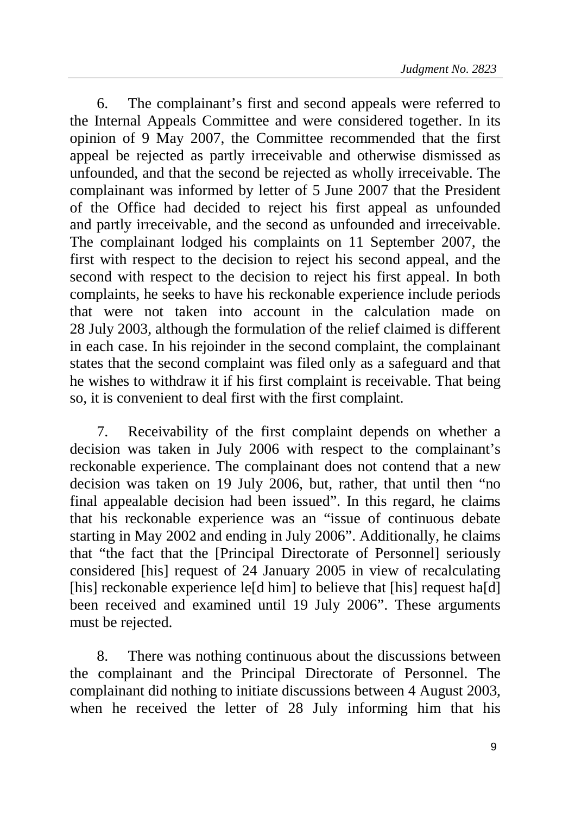6. The complainant's first and second appeals were referred to the Internal Appeals Committee and were considered together. In its opinion of 9 May 2007, the Committee recommended that the first appeal be rejected as partly irreceivable and otherwise dismissed as unfounded, and that the second be rejected as wholly irreceivable. The complainant was informed by letter of 5 June 2007 that the President of the Office had decided to reject his first appeal as unfounded and partly irreceivable, and the second as unfounded and irreceivable. The complainant lodged his complaints on 11 September 2007, the first with respect to the decision to reject his second appeal, and the second with respect to the decision to reject his first appeal. In both complaints, he seeks to have his reckonable experience include periods that were not taken into account in the calculation made on 28 July 2003, although the formulation of the relief claimed is different in each case. In his rejoinder in the second complaint, the complainant states that the second complaint was filed only as a safeguard and that he wishes to withdraw it if his first complaint is receivable. That being so, it is convenient to deal first with the first complaint.

7. Receivability of the first complaint depends on whether a decision was taken in July 2006 with respect to the complainant's reckonable experience. The complainant does not contend that a new decision was taken on 19 July 2006, but, rather, that until then "no final appealable decision had been issued". In this regard, he claims that his reckonable experience was an "issue of continuous debate starting in May 2002 and ending in July 2006". Additionally, he claims that "the fact that the [Principal Directorate of Personnel] seriously considered [his] request of 24 January 2005 in view of recalculating [his] reckonable experience le[d him] to believe that [his] request ha[d] been received and examined until 19 July 2006". These arguments must be rejected.

8. There was nothing continuous about the discussions between the complainant and the Principal Directorate of Personnel. The complainant did nothing to initiate discussions between 4 August 2003, when he received the letter of 28 July informing him that his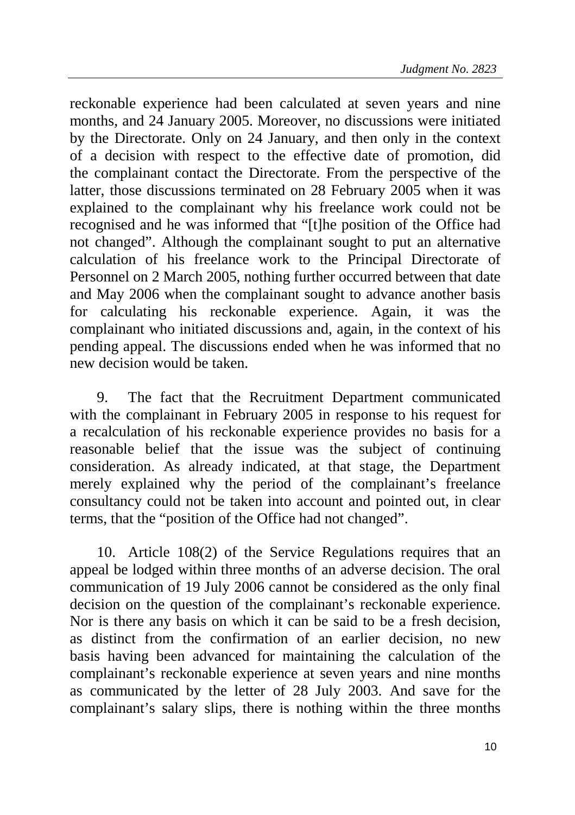reckonable experience had been calculated at seven years and nine months, and 24 January 2005. Moreover, no discussions were initiated by the Directorate. Only on 24 January, and then only in the context of a decision with respect to the effective date of promotion, did the complainant contact the Directorate. From the perspective of the latter, those discussions terminated on 28 February 2005 when it was explained to the complainant why his freelance work could not be recognised and he was informed that "[t]he position of the Office had not changed". Although the complainant sought to put an alternative calculation of his freelance work to the Principal Directorate of Personnel on 2 March 2005, nothing further occurred between that date and May 2006 when the complainant sought to advance another basis for calculating his reckonable experience. Again, it was the complainant who initiated discussions and, again, in the context of his pending appeal. The discussions ended when he was informed that no new decision would be taken.

9. The fact that the Recruitment Department communicated with the complainant in February 2005 in response to his request for a recalculation of his reckonable experience provides no basis for a reasonable belief that the issue was the subject of continuing consideration. As already indicated, at that stage, the Department merely explained why the period of the complainant's freelance consultancy could not be taken into account and pointed out, in clear terms, that the "position of the Office had not changed".

10. Article 108(2) of the Service Regulations requires that an appeal be lodged within three months of an adverse decision. The oral communication of 19 July 2006 cannot be considered as the only final decision on the question of the complainant's reckonable experience. Nor is there any basis on which it can be said to be a fresh decision, as distinct from the confirmation of an earlier decision, no new basis having been advanced for maintaining the calculation of the complainant's reckonable experience at seven years and nine months as communicated by the letter of 28 July 2003. And save for the complainant's salary slips, there is nothing within the three months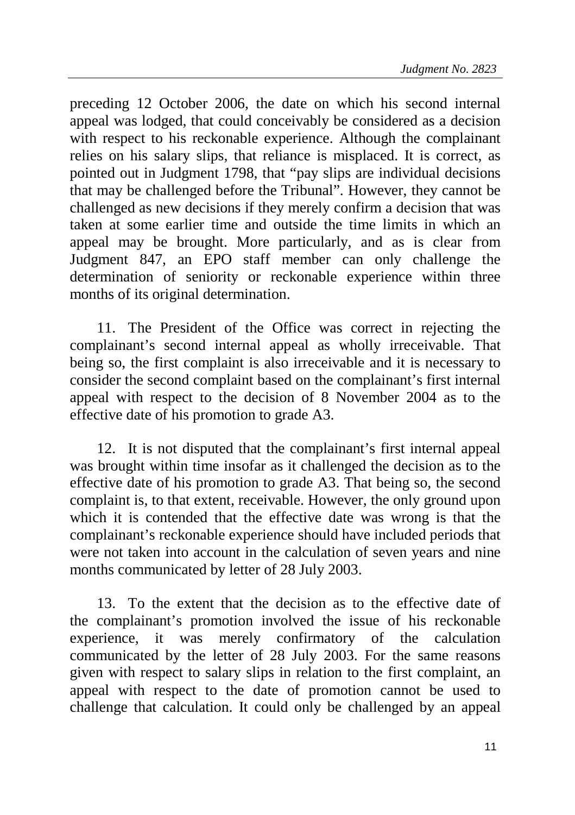preceding 12 October 2006, the date on which his second internal appeal was lodged, that could conceivably be considered as a decision with respect to his reckonable experience. Although the complainant relies on his salary slips, that reliance is misplaced. It is correct, as pointed out in Judgment 1798, that "pay slips are individual decisions that may be challenged before the Tribunal". However, they cannot be challenged as new decisions if they merely confirm a decision that was taken at some earlier time and outside the time limits in which an appeal may be brought. More particularly, and as is clear from Judgment 847, an EPO staff member can only challenge the determination of seniority or reckonable experience within three months of its original determination.

11. The President of the Office was correct in rejecting the complainant's second internal appeal as wholly irreceivable. That being so, the first complaint is also irreceivable and it is necessary to consider the second complaint based on the complainant's first internal appeal with respect to the decision of 8 November 2004 as to the effective date of his promotion to grade A3.

12. It is not disputed that the complainant's first internal appeal was brought within time insofar as it challenged the decision as to the effective date of his promotion to grade A3. That being so, the second complaint is, to that extent, receivable. However, the only ground upon which it is contended that the effective date was wrong is that the complainant's reckonable experience should have included periods that were not taken into account in the calculation of seven years and nine months communicated by letter of 28 July 2003.

13. To the extent that the decision as to the effective date of the complainant's promotion involved the issue of his reckonable experience, it was merely confirmatory of the calculation communicated by the letter of 28 July 2003. For the same reasons given with respect to salary slips in relation to the first complaint, an appeal with respect to the date of promotion cannot be used to challenge that calculation. It could only be challenged by an appeal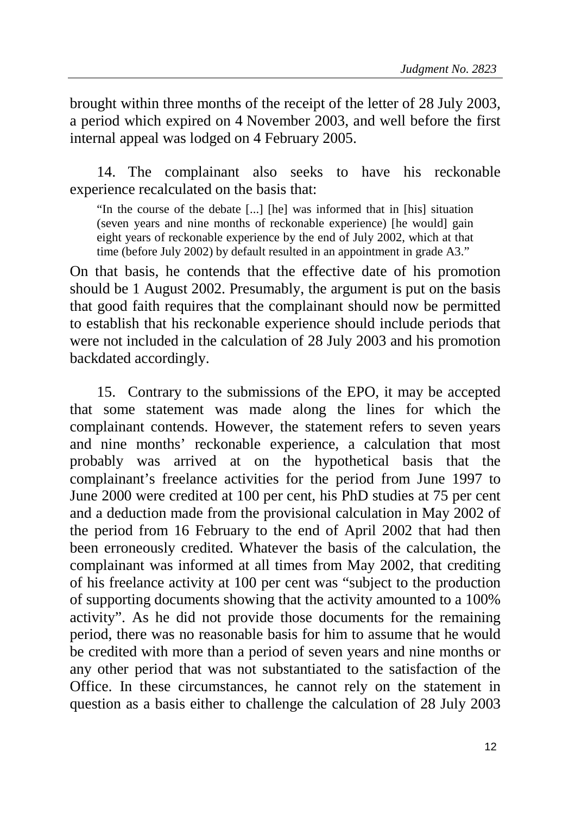brought within three months of the receipt of the letter of 28 July 2003, a period which expired on 4 November 2003, and well before the first internal appeal was lodged on 4 February 2005.

14. The complainant also seeks to have his reckonable experience recalculated on the basis that:

"In the course of the debate [...] [he] was informed that in [his] situation (seven years and nine months of reckonable experience) [he would] gain eight years of reckonable experience by the end of July 2002, which at that time (before July 2002) by default resulted in an appointment in grade A3."

On that basis, he contends that the effective date of his promotion should be 1 August 2002. Presumably, the argument is put on the basis that good faith requires that the complainant should now be permitted to establish that his reckonable experience should include periods that were not included in the calculation of 28 July 2003 and his promotion backdated accordingly.

15. Contrary to the submissions of the EPO, it may be accepted that some statement was made along the lines for which the complainant contends. However, the statement refers to seven years and nine months' reckonable experience, a calculation that most probably was arrived at on the hypothetical basis that the complainant's freelance activities for the period from June 1997 to June 2000 were credited at 100 per cent, his PhD studies at 75 per cent and a deduction made from the provisional calculation in May 2002 of the period from 16 February to the end of April 2002 that had then been erroneously credited. Whatever the basis of the calculation, the complainant was informed at all times from May 2002, that crediting of his freelance activity at 100 per cent was "subject to the production of supporting documents showing that the activity amounted to a 100% activity". As he did not provide those documents for the remaining period, there was no reasonable basis for him to assume that he would be credited with more than a period of seven years and nine months or any other period that was not substantiated to the satisfaction of the Office. In these circumstances, he cannot rely on the statement in question as a basis either to challenge the calculation of 28 July 2003